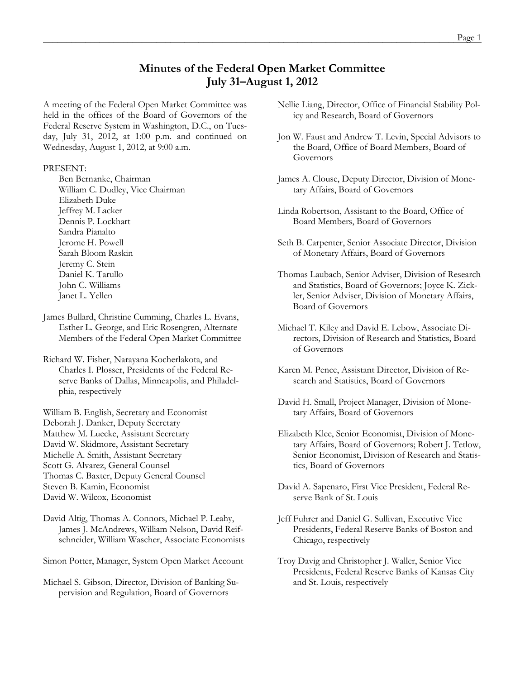# **Minutes of the Federal Open Market Committee July 31–August 1, 2012**

A meeting of the Federal Open Market Committee was held in the offices of the Board of Governors of the Federal Reserve System in Washington, D.C., on Tuesday, July 31, 2012, at 1:00 p.m. and continued on Wednesday, August 1, 2012, at 9:00 a.m.

#### PRESENT:

Ben Bernanke, Chairman William C. Dudley, Vice Chairman Elizabeth Duke Jeffrey M. Lacker Dennis P. Lockhart Sandra Pianalto Jerome H. Powell Sarah Bloom Raskin Jeremy C. Stein Daniel K. Tarullo John C. Williams Janet L. Yellen

- James Bullard, Christine Cumming, Charles L. Evans, Esther L. George, and Eric Rosengren, Alternate Members of the Federal Open Market Committee
- Richard W. Fisher, Narayana Kocherlakota, and Charles I. Plosser, Presidents of the Federal Reserve Banks of Dallas, Minneapolis, and Philadelphia, respectively

William B. English, Secretary and Economist Deborah J. Danker, Deputy Secretary Matthew M. Luecke, Assistant Secretary David W. Skidmore, Assistant Secretary Michelle A. Smith, Assistant Secretary Scott G. Alvarez, General Counsel Thomas C. Baxter, Deputy General Counsel Steven B. Kamin, Economist David W. Wilcox, Economist

David Altig, Thomas A. Connors, Michael P. Leahy, James J. McAndrews, William Nelson, David Reifschneider, William Wascher, Associate Economists

Simon Potter, Manager, System Open Market Account

Michael S. Gibson, Director, Division of Banking Supervision and Regulation, Board of Governors

- Nellie Liang, Director, Office of Financial Stability Policy and Research, Board of Governors
- Jon W. Faust and Andrew T. Levin, Special Advisors to the Board, Office of Board Members, Board of Governors
- James A. Clouse, Deputy Director, Division of Monetary Affairs, Board of Governors
- Linda Robertson, Assistant to the Board, Office of Board Members, Board of Governors
- Seth B. Carpenter, Senior Associate Director, Division of Monetary Affairs, Board of Governors
- Thomas Laubach, Senior Adviser, Division of Research and Statistics, Board of Governors; Joyce K. Zickler, Senior Adviser, Division of Monetary Affairs, Board of Governors
- Michael T. Kiley and David E. Lebow, Associate Directors, Division of Research and Statistics, Board of Governors
- Karen M. Pence, Assistant Director, Division of Research and Statistics, Board of Governors
- David H. Small, Project Manager, Division of Monetary Affairs, Board of Governors
- Elizabeth Klee, Senior Economist, Division of Monetary Affairs, Board of Governors; Robert J. Tetlow, Senior Economist, Division of Research and Statistics, Board of Governors
- David A. Sapenaro, First Vice President, Federal Reserve Bank of St. Louis
- Jeff Fuhrer and Daniel G. Sullivan, Executive Vice Presidents, Federal Reserve Banks of Boston and Chicago, respectively
- Troy Davig and Christopher J. Waller, Senior Vice Presidents, Federal Reserve Banks of Kansas City and St. Louis, respectively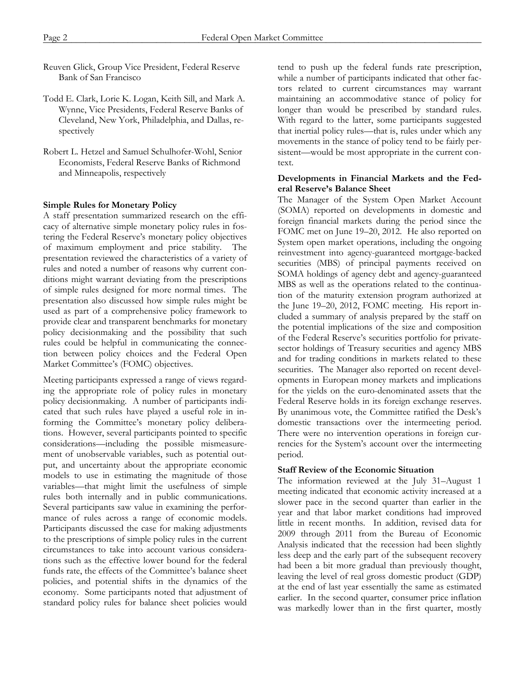- Reuven Glick, Group Vice President, Federal Reserve Bank of San Francisco
- Todd E. Clark, Lorie K. Logan, Keith Sill, and Mark A. Wynne, Vice Presidents, Federal Reserve Banks of Cleveland, New York, Philadelphia, and Dallas, respectively
- Robert L. Hetzel and Samuel Schulhofer-Wohl, Senior Economists, Federal Reserve Banks of Richmond and Minneapolis, respectively

## **Simple Rules for Monetary Policy**

A staff presentation summarized research on the efficacy of alternative simple monetary policy rules in fostering the Federal Reserve's monetary policy objectives of maximum employment and price stability. The presentation reviewed the characteristics of a variety of rules and noted a number of reasons why current conditions might warrant deviating from the prescriptions of simple rules designed for more normal times. The presentation also discussed how simple rules might be used as part of a comprehensive policy framework to provide clear and transparent benchmarks for monetary policy decisionmaking and the possibility that such rules could be helpful in communicating the connection between policy choices and the Federal Open Market Committee's (FOMC) objectives.

Meeting participants expressed a range of views regarding the appropriate role of policy rules in monetary policy decisionmaking. A number of participants indicated that such rules have played a useful role in informing the Committee's monetary policy deliberations. However, several participants pointed to specific considerations—including the possible mismeasurement of unobservable variables, such as potential output, and uncertainty about the appropriate economic models to use in estimating the magnitude of those variables—that might limit the usefulness of simple rules both internally and in public communications. Several participants saw value in examining the performance of rules across a range of economic models. Participants discussed the case for making adjustments to the prescriptions of simple policy rules in the current circumstances to take into account various considerations such as the effective lower bound for the federal funds rate, the effects of the Committee's balance sheet policies, and potential shifts in the dynamics of the economy. Some participants noted that adjustment of standard policy rules for balance sheet policies would tend to push up the federal funds rate prescription, while a number of participants indicated that other factors related to current circumstances may warrant maintaining an accommodative stance of policy for longer than would be prescribed by standard rules. With regard to the latter, some participants suggested that inertial policy rules—that is, rules under which any movements in the stance of policy tend to be fairly persistent—would be most appropriate in the current context.

#### **Developments in Financial Markets and the Federal Reserve's Balance Sheet**

The Manager of the System Open Market Account (SOMA) reported on developments in domestic and foreign financial markets during the period since the FOMC met on June 19–20, 2012. He also reported on System open market operations, including the ongoing reinvestment into agency-guaranteed mortgage-backed securities (MBS) of principal payments received on SOMA holdings of agency debt and agency-guaranteed MBS as well as the operations related to the continuation of the maturity extension program authorized at the June 19–20, 2012, FOMC meeting. His report included a summary of analysis prepared by the staff on the potential implications of the size and composition of the Federal Reserve's securities portfolio for privatesector holdings of Treasury securities and agency MBS and for trading conditions in markets related to these securities. The Manager also reported on recent developments in European money markets and implications for the yields on the euro-denominated assets that the Federal Reserve holds in its foreign exchange reserves. By unanimous vote, the Committee ratified the Desk's domestic transactions over the intermeeting period. There were no intervention operations in foreign currencies for the System's account over the intermeeting period.

### **Staff Review of the Economic Situation**

The information reviewed at the July 31–August 1 meeting indicated that economic activity increased at a slower pace in the second quarter than earlier in the year and that labor market conditions had improved little in recent months. In addition, revised data for 2009 through 2011 from the Bureau of Economic Analysis indicated that the recession had been slightly less deep and the early part of the subsequent recovery had been a bit more gradual than previously thought, leaving the level of real gross domestic product (GDP) at the end of last year essentially the same as estimated earlier. In the second quarter, consumer price inflation was markedly lower than in the first quarter, mostly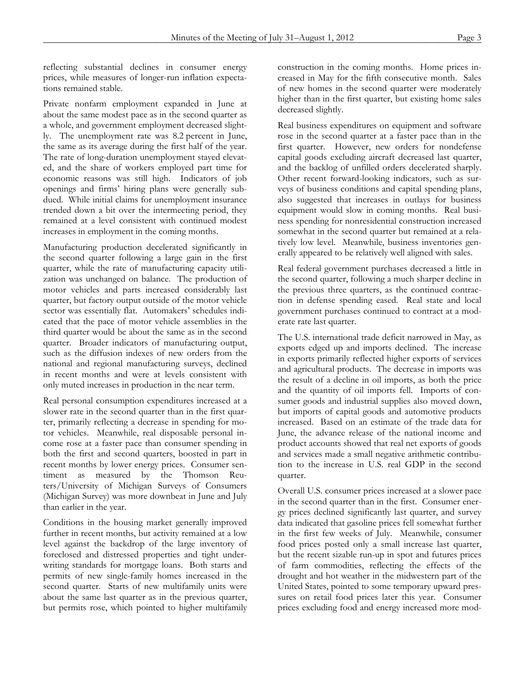reflecting substantial declines in consumer energy prices, while measures of longer-run inflation expectations remained stable.

Private nonfarm employment expanded in June at about the same modest pace as in the second quarter as a whole, and government employment decreased slightly. The unemployment rate was 8.2 percent in June, the same as its average during the first half of the year. The rate of long-duration unemployment stayed elevated, and the share of workers employed part time for economic reasons was still high. Indicators of job openings and firms' hiring plans were generally subdued. While initial claims for unemployment insurance trended down a bit over the intermeeting period, they remained at a level consistent with continued modest increases in employment in the coming months.

Manufacturing production decelerated significantly in the second quarter following a large gain in the first quarter, while the rate of manufacturing capacity utilization was unchanged on balance. The production of motor vehicles and parts increased considerably last quarter, but factory output outside of the motor vehicle sector was essentially flat. Automakers' schedules indicated that the pace of motor vehicle assemblies in the third quarter would be about the same as in the second quarter. Broader indicators of manufacturing output, such as the diffusion indexes of new orders from the national and regional manufacturing surveys, declined in recent months and were at levels consistent with only muted increases in production in the near term.

Real personal consumption expenditures increased at a slower rate in the second quarter than in the first quarter, primarily reflecting a decrease in spending for motor vehicles. Meanwhile, real disposable personal income rose at a faster pace than consumer spending in both the first and second quarters, boosted in part in recent months by lower energy prices. Consumer sentiment as measured by the Thomson Reuters/University of Michigan Surveys of Consumers (Michigan Survey) was more downbeat in June and July than earlier in the year.

Conditions in the housing market generally improved further in recent months, but activity remained at a low level against the backdrop of the large inventory of foreclosed and distressed properties and tight underwriting standards for mortgage loans. Both starts and permits of new single-family homes increased in the second quarter. Starts of new multifamily units were about the same last quarter as in the previous quarter, but permits rose, which pointed to higher multifamily

construction in the coming months. Home prices increased in May for the fifth consecutive month. Sales of new homes in the second quarter were moderately higher than in the first quarter, but existing home sales decreased slightly.

Real business expenditures on equipment and software rose in the second quarter at a faster pace than in the first quarter. However, new orders for nondefense capital goods excluding aircraft decreased last quarter, and the backlog of unfilled orders decelerated sharply. Other recent forward-looking indicators, such as surveys of business conditions and capital spending plans, also suggested that increases in outlays for business equipment would slow in coming months. Real business spending for nonresidential construction increased somewhat in the second quarter but remained at a relatively low level. Meanwhile, business inventories generally appeared to be relatively well aligned with sales.

Real federal government purchases decreased a little in the second quarter, following a much sharper decline in the previous three quarters, as the continued contraction in defense spending eased. Real state and local government purchases continued to contract at a moderate rate last quarter.

The U.S. international trade deficit narrowed in May, as exports edged up and imports declined. The increase in exports primarily reflected higher exports of services and agricultural products. The decrease in imports was the result of a decline in oil imports, as both the price and the quantity of oil imports fell. Imports of consumer goods and industrial supplies also moved down, but imports of capital goods and automotive products increased. Based on an estimate of the trade data for June, the advance release of the national income and product accounts showed that real net exports of goods and services made a small negative arithmetic contribution to the increase in U.S. real GDP in the second quarter.

Overall U.S. consumer prices increased at a slower pace in the second quarter than in the first. Consumer energy prices declined significantly last quarter, and survey data indicated that gasoline prices fell somewhat further in the first few weeks of July. Meanwhile, consumer food prices posted only a small increase last quarter, but the recent sizable run-up in spot and futures prices of farm commodities, reflecting the effects of the drought and hot weather in the midwestern part of the United States, pointed to some temporary upward pressures on retail food prices later this year. Consumer prices excluding food and energy increased more mod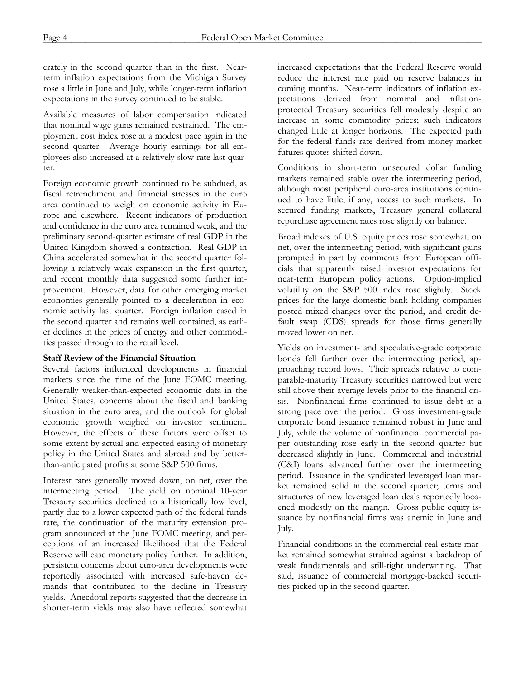erately in the second quarter than in the first. Nearterm inflation expectations from the Michigan Survey rose a little in June and July, while longer-term inflation expectations in the survey continued to be stable.

Available measures of labor compensation indicated that nominal wage gains remained restrained. The employment cost index rose at a modest pace again in the second quarter. Average hourly earnings for all employees also increased at a relatively slow rate last quarter.

Foreign economic growth continued to be subdued, as fiscal retrenchment and financial stresses in the euro area continued to weigh on economic activity in Europe and elsewhere. Recent indicators of production and confidence in the euro area remained weak, and the preliminary second-quarter estimate of real GDP in the United Kingdom showed a contraction. Real GDP in China accelerated somewhat in the second quarter following a relatively weak expansion in the first quarter, and recent monthly data suggested some further improvement. However, data for other emerging market economies generally pointed to a deceleration in economic activity last quarter. Foreign inflation eased in the second quarter and remains well contained, as earlier declines in the prices of energy and other commodities passed through to the retail level.

## **Staff Review of the Financial Situation**

Several factors influenced developments in financial markets since the time of the June FOMC meeting. Generally weaker-than-expected economic data in the United States, concerns about the fiscal and banking situation in the euro area, and the outlook for global economic growth weighed on investor sentiment. However, the effects of these factors were offset to some extent by actual and expected easing of monetary policy in the United States and abroad and by betterthan-anticipated profits at some S&P 500 firms.

Interest rates generally moved down, on net, over the intermeeting period. The yield on nominal 10-year Treasury securities declined to a historically low level, partly due to a lower expected path of the federal funds rate, the continuation of the maturity extension program announced at the June FOMC meeting, and perceptions of an increased likelihood that the Federal Reserve will ease monetary policy further. In addition, persistent concerns about euro-area developments were reportedly associated with increased safe-haven demands that contributed to the decline in Treasury yields. Anecdotal reports suggested that the decrease in shorter-term yields may also have reflected somewhat

increased expectations that the Federal Reserve would reduce the interest rate paid on reserve balances in coming months. Near-term indicators of inflation expectations derived from nominal and inflationprotected Treasury securities fell modestly despite an increase in some commodity prices; such indicators changed little at longer horizons. The expected path for the federal funds rate derived from money market futures quotes shifted down.

Conditions in short-term unsecured dollar funding markets remained stable over the intermeeting period, although most peripheral euro-area institutions continued to have little, if any, access to such markets. In secured funding markets, Treasury general collateral repurchase agreement rates rose slightly on balance.

Broad indexes of U.S. equity prices rose somewhat, on net, over the intermeeting period, with significant gains prompted in part by comments from European officials that apparently raised investor expectations for near-term European policy actions. Option-implied volatility on the S&P 500 index rose slightly. Stock prices for the large domestic bank holding companies posted mixed changes over the period, and credit default swap (CDS) spreads for those firms generally moved lower on net.

Yields on investment- and speculative-grade corporate bonds fell further over the intermeeting period, approaching record lows. Their spreads relative to comparable-maturity Treasury securities narrowed but were still above their average levels prior to the financial crisis. Nonfinancial firms continued to issue debt at a strong pace over the period. Gross investment-grade corporate bond issuance remained robust in June and July, while the volume of nonfinancial commercial paper outstanding rose early in the second quarter but decreased slightly in June. Commercial and industrial (C&I) loans advanced further over the intermeeting period. Issuance in the syndicated leveraged loan market remained solid in the second quarter; terms and structures of new leveraged loan deals reportedly loosened modestly on the margin. Gross public equity issuance by nonfinancial firms was anemic in June and July.

Financial conditions in the commercial real estate market remained somewhat strained against a backdrop of weak fundamentals and still-tight underwriting. That said, issuance of commercial mortgage-backed securities picked up in the second quarter.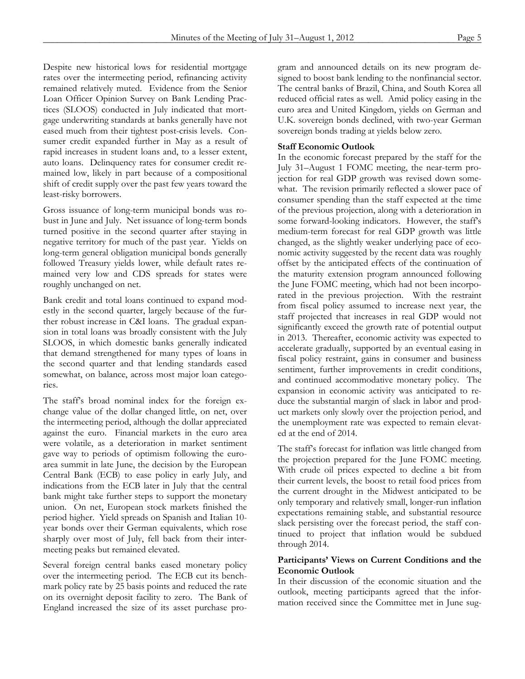Despite new historical lows for residential mortgage rates over the intermeeting period, refinancing activity remained relatively muted. Evidence from the Senior Loan Officer Opinion Survey on Bank Lending Practices (SLOOS) conducted in July indicated that mortgage underwriting standards at banks generally have not eased much from their tightest post-crisis levels. Consumer credit expanded further in May as a result of rapid increases in student loans and, to a lesser extent, auto loans. Delinquency rates for consumer credit remained low, likely in part because of a compositional shift of credit supply over the past few years toward the least-risky borrowers.

Gross issuance of long-term municipal bonds was robust in June and July. Net issuance of long-term bonds turned positive in the second quarter after staying in negative territory for much of the past year. Yields on long-term general obligation municipal bonds generally followed Treasury yields lower, while default rates remained very low and CDS spreads for states were roughly unchanged on net.

Bank credit and total loans continued to expand modestly in the second quarter, largely because of the further robust increase in C&I loans. The gradual expansion in total loans was broadly consistent with the July SLOOS, in which domestic banks generally indicated that demand strengthened for many types of loans in the second quarter and that lending standards eased somewhat, on balance, across most major loan categories.

The staff's broad nominal index for the foreign exchange value of the dollar changed little, on net, over the intermeeting period, although the dollar appreciated against the euro. Financial markets in the euro area were volatile, as a deterioration in market sentiment gave way to periods of optimism following the euroarea summit in late June, the decision by the European Central Bank (ECB) to ease policy in early July, and indications from the ECB later in July that the central bank might take further steps to support the monetary union. On net, European stock markets finished the period higher. Yield spreads on Spanish and Italian 10 year bonds over their German equivalents, which rose sharply over most of July, fell back from their intermeeting peaks but remained elevated.

Several foreign central banks eased monetary policy over the intermeeting period. The ECB cut its benchmark policy rate by 25 basis points and reduced the rate on its overnight deposit facility to zero. The Bank of England increased the size of its asset purchase pro-

gram and announced details on its new program designed to boost bank lending to the nonfinancial sector. The central banks of Brazil, China, and South Korea all reduced official rates as well. Amid policy easing in the euro area and United Kingdom, yields on German and U.K. sovereign bonds declined, with two-year German sovereign bonds trading at yields below zero.

#### **Staff Economic Outlook**

In the economic forecast prepared by the staff for the July 31–August 1 FOMC meeting, the near-term projection for real GDP growth was revised down somewhat. The revision primarily reflected a slower pace of consumer spending than the staff expected at the time of the previous projection, along with a deterioration in some forward-looking indicators. However, the staff's medium-term forecast for real GDP growth was little changed, as the slightly weaker underlying pace of economic activity suggested by the recent data was roughly offset by the anticipated effects of the continuation of the maturity extension program announced following the June FOMC meeting, which had not been incorporated in the previous projection. With the restraint from fiscal policy assumed to increase next year, the staff projected that increases in real GDP would not significantly exceed the growth rate of potential output in 2013. Thereafter, economic activity was expected to accelerate gradually, supported by an eventual easing in fiscal policy restraint, gains in consumer and business sentiment, further improvements in credit conditions, and continued accommodative monetary policy. The expansion in economic activity was anticipated to reduce the substantial margin of slack in labor and product markets only slowly over the projection period, and the unemployment rate was expected to remain elevated at the end of 2014.

The staff's forecast for inflation was little changed from the projection prepared for the June FOMC meeting. With crude oil prices expected to decline a bit from their current levels, the boost to retail food prices from the current drought in the Midwest anticipated to be only temporary and relatively small, longer-run inflation expectations remaining stable, and substantial resource slack persisting over the forecast period, the staff continued to project that inflation would be subdued through 2014.

#### **Participants' Views on Current Conditions and the Economic Outlook**

In their discussion of the economic situation and the outlook, meeting participants agreed that the information received since the Committee met in June sug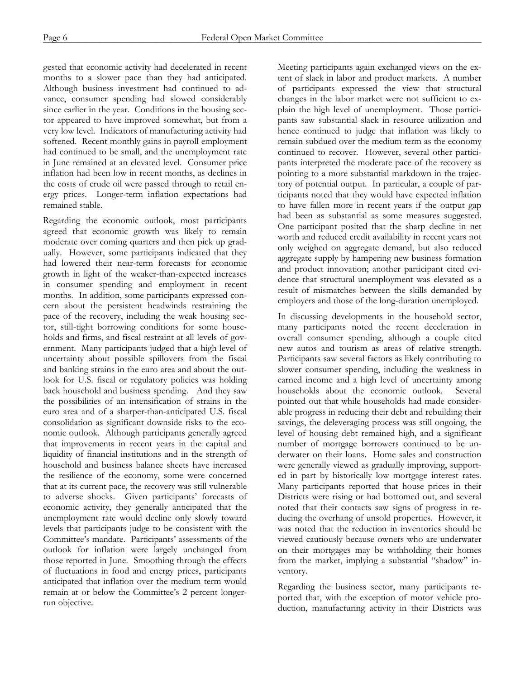gested that economic activity had decelerated in recent months to a slower pace than they had anticipated. Although business investment had continued to advance, consumer spending had slowed considerably since earlier in the year. Conditions in the housing sector appeared to have improved somewhat, but from a very low level. Indicators of manufacturing activity had softened. Recent monthly gains in payroll employment had continued to be small, and the unemployment rate in June remained at an elevated level. Consumer price inflation had been low in recent months, as declines in the costs of crude oil were passed through to retail energy prices. Longer-term inflation expectations had remained stable.

Regarding the economic outlook, most participants agreed that economic growth was likely to remain moderate over coming quarters and then pick up gradually. However, some participants indicated that they had lowered their near-term forecasts for economic growth in light of the weaker-than-expected increases in consumer spending and employment in recent months. In addition, some participants expressed concern about the persistent headwinds restraining the pace of the recovery, including the weak housing sector, still-tight borrowing conditions for some households and firms, and fiscal restraint at all levels of government. Many participants judged that a high level of uncertainty about possible spillovers from the fiscal and banking strains in the euro area and about the outlook for U.S. fiscal or regulatory policies was holding back household and business spending. And they saw the possibilities of an intensification of strains in the euro area and of a sharper-than-anticipated U.S. fiscal consolidation as significant downside risks to the economic outlook. Although participants generally agreed that improvements in recent years in the capital and liquidity of financial institutions and in the strength of household and business balance sheets have increased the resilience of the economy, some were concerned that at its current pace, the recovery was still vulnerable to adverse shocks. Given participants' forecasts of economic activity, they generally anticipated that the unemployment rate would decline only slowly toward levels that participants judge to be consistent with the Committee's mandate. Participants' assessments of the outlook for inflation were largely unchanged from those reported in June. Smoothing through the effects of fluctuations in food and energy prices, participants anticipated that inflation over the medium term would remain at or below the Committee's 2 percent longerrun objective.

Meeting participants again exchanged views on the extent of slack in labor and product markets. A number of participants expressed the view that structural changes in the labor market were not sufficient to explain the high level of unemployment. Those participants saw substantial slack in resource utilization and hence continued to judge that inflation was likely to remain subdued over the medium term as the economy continued to recover. However, several other participants interpreted the moderate pace of the recovery as pointing to a more substantial markdown in the trajectory of potential output. In particular, a couple of participants noted that they would have expected inflation to have fallen more in recent years if the output gap had been as substantial as some measures suggested. One participant posited that the sharp decline in net worth and reduced credit availability in recent years not only weighed on aggregate demand, but also reduced aggregate supply by hampering new business formation and product innovation; another participant cited evidence that structural unemployment was elevated as a result of mismatches between the skills demanded by employers and those of the long-duration unemployed.

In discussing developments in the household sector, many participants noted the recent deceleration in overall consumer spending, although a couple cited new autos and tourism as areas of relative strength. Participants saw several factors as likely contributing to slower consumer spending, including the weakness in earned income and a high level of uncertainty among households about the economic outlook. Several pointed out that while households had made considerable progress in reducing their debt and rebuilding their savings, the deleveraging process was still ongoing, the level of housing debt remained high, and a significant number of mortgage borrowers continued to be underwater on their loans. Home sales and construction were generally viewed as gradually improving, supported in part by historically low mortgage interest rates. Many participants reported that house prices in their Districts were rising or had bottomed out, and several noted that their contacts saw signs of progress in reducing the overhang of unsold properties. However, it was noted that the reduction in inventories should be viewed cautiously because owners who are underwater on their mortgages may be withholding their homes from the market, implying a substantial "shadow" inventory.

Regarding the business sector, many participants reported that, with the exception of motor vehicle production, manufacturing activity in their Districts was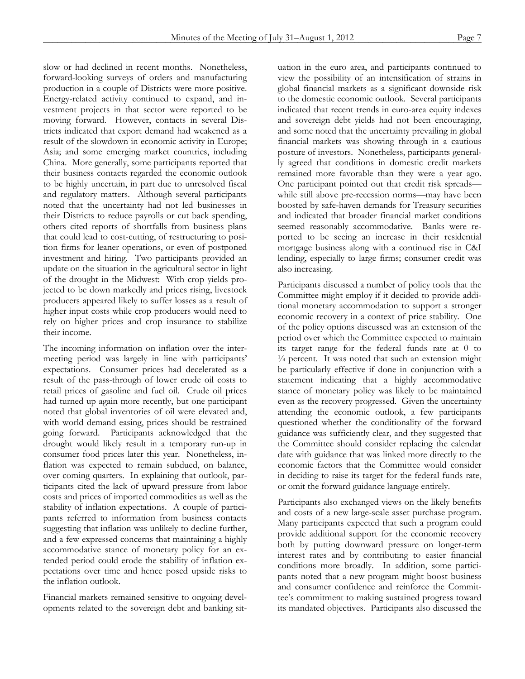slow or had declined in recent months. Nonetheless, forward-looking surveys of orders and manufacturing production in a couple of Districts were more positive. Energy-related activity continued to expand, and investment projects in that sector were reported to be moving forward. However, contacts in several Districts indicated that export demand had weakened as a result of the slowdown in economic activity in Europe; Asia; and some emerging market countries, including China. More generally, some participants reported that their business contacts regarded the economic outlook to be highly uncertain, in part due to unresolved fiscal and regulatory matters. Although several participants noted that the uncertainty had not led businesses in their Districts to reduce payrolls or cut back spending, others cited reports of shortfalls from business plans that could lead to cost-cutting, of restructuring to position firms for leaner operations, or even of postponed investment and hiring. Two participants provided an update on the situation in the agricultural sector in light of the drought in the Midwest: With crop yields projected to be down markedly and prices rising, livestock producers appeared likely to suffer losses as a result of higher input costs while crop producers would need to rely on higher prices and crop insurance to stabilize their income.

The incoming information on inflation over the intermeeting period was largely in line with participants' expectations. Consumer prices had decelerated as a result of the pass-through of lower crude oil costs to retail prices of gasoline and fuel oil. Crude oil prices had turned up again more recently, but one participant noted that global inventories of oil were elevated and, with world demand easing, prices should be restrained going forward. Participants acknowledged that the drought would likely result in a temporary run-up in consumer food prices later this year. Nonetheless, inflation was expected to remain subdued, on balance, over coming quarters. In explaining that outlook, participants cited the lack of upward pressure from labor costs and prices of imported commodities as well as the stability of inflation expectations. A couple of participants referred to information from business contacts suggesting that inflation was unlikely to decline further, and a few expressed concerns that maintaining a highly accommodative stance of monetary policy for an extended period could erode the stability of inflation expectations over time and hence posed upside risks to the inflation outlook.

Financial markets remained sensitive to ongoing developments related to the sovereign debt and banking sit-

uation in the euro area, and participants continued to view the possibility of an intensification of strains in global financial markets as a significant downside risk to the domestic economic outlook. Several participants indicated that recent trends in euro-area equity indexes and sovereign debt yields had not been encouraging, and some noted that the uncertainty prevailing in global financial markets was showing through in a cautious posture of investors. Nonetheless, participants generally agreed that conditions in domestic credit markets remained more favorable than they were a year ago. One participant pointed out that credit risk spreads while still above pre-recession norms—may have been boosted by safe-haven demands for Treasury securities and indicated that broader financial market conditions seemed reasonably accommodative. Banks were reported to be seeing an increase in their residential mortgage business along with a continued rise in C&I lending, especially to large firms; consumer credit was also increasing.

Participants discussed a number of policy tools that the Committee might employ if it decided to provide additional monetary accommodation to support a stronger economic recovery in a context of price stability. One of the policy options discussed was an extension of the period over which the Committee expected to maintain its target range for the federal funds rate at 0 to  $\frac{1}{4}$  percent. It was noted that such an extension might be particularly effective if done in conjunction with a statement indicating that a highly accommodative stance of monetary policy was likely to be maintained even as the recovery progressed. Given the uncertainty attending the economic outlook, a few participants questioned whether the conditionality of the forward guidance was sufficiently clear, and they suggested that the Committee should consider replacing the calendar date with guidance that was linked more directly to the economic factors that the Committee would consider in deciding to raise its target for the federal funds rate, or omit the forward guidance language entirely.

Participants also exchanged views on the likely benefits and costs of a new large-scale asset purchase program. Many participants expected that such a program could provide additional support for the economic recovery both by putting downward pressure on longer-term interest rates and by contributing to easier financial conditions more broadly. In addition, some participants noted that a new program might boost business and consumer confidence and reinforce the Committee's commitment to making sustained progress toward its mandated objectives. Participants also discussed the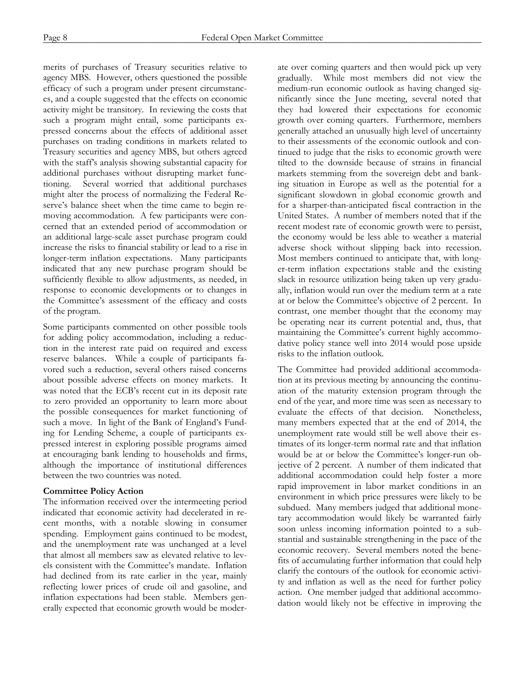merits of purchases of Treasury securities relative to agency MBS. However, others questioned the possible efficacy of such a program under present circumstances, and a couple suggested that the effects on economic activity might be transitory. In reviewing the costs that such a program might entail, some participants expressed concerns about the effects of additional asset purchases on trading conditions in markets related to Treasury securities and agency MBS, but others agreed with the staff's analysis showing substantial capacity for additional purchases without disrupting market functioning. Several worried that additional purchases might alter the process of normalizing the Federal Reserve's balance sheet when the time came to begin removing accommodation. A few participants were concerned that an extended period of accommodation or an additional large-scale asset purchase program could increase the risks to financial stability or lead to a rise in longer-term inflation expectations. Many participants indicated that any new purchase program should be sufficiently flexible to allow adjustments, as needed, in response to economic developments or to changes in the Committee's assessment of the efficacy and costs of the program.

Some participants commented on other possible tools for adding policy accommodation, including a reduction in the interest rate paid on required and excess reserve balances. While a couple of participants favored such a reduction, several others raised concerns about possible adverse effects on money markets. It was noted that the ECB's recent cut in its deposit rate to zero provided an opportunity to learn more about the possible consequences for market functioning of such a move. In light of the Bank of England's Funding for Lending Scheme, a couple of participants expressed interest in exploring possible programs aimed at encouraging bank lending to households and firms, although the importance of institutional differences between the two countries was noted.

## **Committee Policy Action**

The information received over the intermeeting period indicated that economic activity had decelerated in recent months, with a notable slowing in consumer spending. Employment gains continued to be modest, and the unemployment rate was unchanged at a level that almost all members saw as elevated relative to levels consistent with the Committee's mandate. Inflation had declined from its rate earlier in the year, mainly reflecting lower prices of crude oil and gasoline, and inflation expectations had been stable. Members generally expected that economic growth would be moderate over coming quarters and then would pick up very gradually. While most members did not view the medium-run economic outlook as having changed significantly since the June meeting, several noted that they had lowered their expectations for economic growth over coming quarters. Furthermore, members generally attached an unusually high level of uncertainty to their assessments of the economic outlook and continued to judge that the risks to economic growth were tilted to the downside because of strains in financial markets stemming from the sovereign debt and banking situation in Europe as well as the potential for a significant slowdown in global economic growth and for a sharper-than-anticipated fiscal contraction in the United States. A number of members noted that if the recent modest rate of economic growth were to persist, the economy would be less able to weather a material adverse shock without slipping back into recession. Most members continued to anticipate that, with longer-term inflation expectations stable and the existing slack in resource utilization being taken up very gradually, inflation would run over the medium term at a rate at or below the Committee's objective of 2 percent. In contrast, one member thought that the economy may be operating near its current potential and, thus, that maintaining the Committee's current highly accommodative policy stance well into 2014 would pose upside risks to the inflation outlook.

The Committee had provided additional accommodation at its previous meeting by announcing the continuation of the maturity extension program through the end of the year, and more time was seen as necessary to evaluate the effects of that decision. Nonetheless, many members expected that at the end of 2014, the unemployment rate would still be well above their estimates of its longer-term normal rate and that inflation would be at or below the Committee's longer-run objective of 2 percent. A number of them indicated that additional accommodation could help foster a more rapid improvement in labor market conditions in an environment in which price pressures were likely to be subdued. Many members judged that additional monetary accommodation would likely be warranted fairly soon unless incoming information pointed to a substantial and sustainable strengthening in the pace of the economic recovery. Several members noted the benefits of accumulating further information that could help clarify the contours of the outlook for economic activity and inflation as well as the need for further policy action. One member judged that additional accommodation would likely not be effective in improving the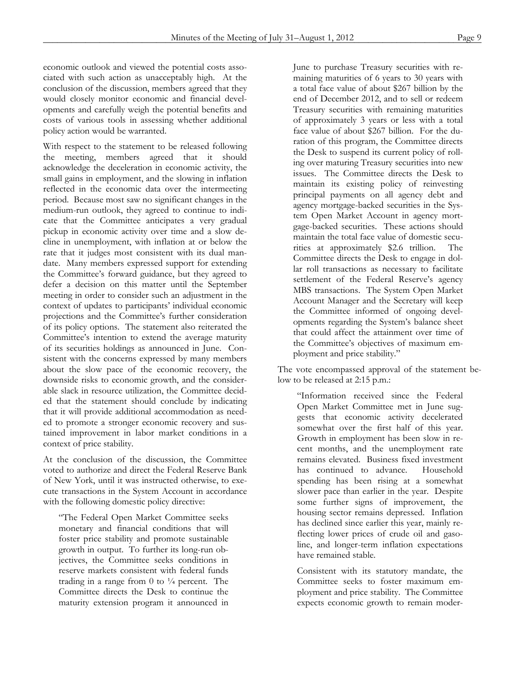economic outlook and viewed the potential costs associated with such action as unacceptably high. At the conclusion of the discussion, members agreed that they would closely monitor economic and financial developments and carefully weigh the potential benefits and costs of various tools in assessing whether additional policy action would be warranted.

With respect to the statement to be released following the meeting, members agreed that it should acknowledge the deceleration in economic activity, the small gains in employment, and the slowing in inflation reflected in the economic data over the intermeeting period. Because most saw no significant changes in the medium-run outlook, they agreed to continue to indicate that the Committee anticipates a very gradual pickup in economic activity over time and a slow decline in unemployment, with inflation at or below the rate that it judges most consistent with its dual mandate. Many members expressed support for extending the Committee's forward guidance, but they agreed to defer a decision on this matter until the September meeting in order to consider such an adjustment in the context of updates to participants' individual economic projections and the Committee's further consideration of its policy options. The statement also reiterated the Committee's intention to extend the average maturity of its securities holdings as announced in June. Consistent with the concerns expressed by many members about the slow pace of the economic recovery, the downside risks to economic growth, and the considerable slack in resource utilization, the Committee decided that the statement should conclude by indicating that it will provide additional accommodation as needed to promote a stronger economic recovery and sustained improvement in labor market conditions in a context of price stability.

At the conclusion of the discussion, the Committee voted to authorize and direct the Federal Reserve Bank of New York, until it was instructed otherwise, to execute transactions in the System Account in accordance with the following domestic policy directive:

"The Federal Open Market Committee seeks monetary and financial conditions that will foster price stability and promote sustainable growth in output. To further its long-run objectives, the Committee seeks conditions in reserve markets consistent with federal funds trading in a range from 0 to  $\frac{1}{4}$  percent. The Committee directs the Desk to continue the maturity extension program it announced in

June to purchase Treasury securities with remaining maturities of 6 years to 30 years with a total face value of about \$267 billion by the end of December 2012, and to sell or redeem Treasury securities with remaining maturities of approximately 3 years or less with a total face value of about \$267 billion. For the duration of this program, the Committee directs the Desk to suspend its current policy of rolling over maturing Treasury securities into new issues. The Committee directs the Desk to maintain its existing policy of reinvesting principal payments on all agency debt and agency mortgage-backed securities in the System Open Market Account in agency mortgage-backed securities. These actions should maintain the total face value of domestic securities at approximately \$2.6 trillion. The Committee directs the Desk to engage in dollar roll transactions as necessary to facilitate settlement of the Federal Reserve's agency MBS transactions. The System Open Market Account Manager and the Secretary will keep the Committee informed of ongoing developments regarding the System's balance sheet that could affect the attainment over time of the Committee's objectives of maximum employment and price stability."

The vote encompassed approval of the statement below to be released at 2:15 p.m.:

> "Information received since the Federal Open Market Committee met in June suggests that economic activity decelerated somewhat over the first half of this year. Growth in employment has been slow in recent months, and the unemployment rate remains elevated. Business fixed investment has continued to advance. Household spending has been rising at a somewhat slower pace than earlier in the year. Despite some further signs of improvement, the housing sector remains depressed. Inflation has declined since earlier this year, mainly reflecting lower prices of crude oil and gasoline, and longer-term inflation expectations have remained stable.

> Consistent with its statutory mandate, the Committee seeks to foster maximum employment and price stability. The Committee expects economic growth to remain moder